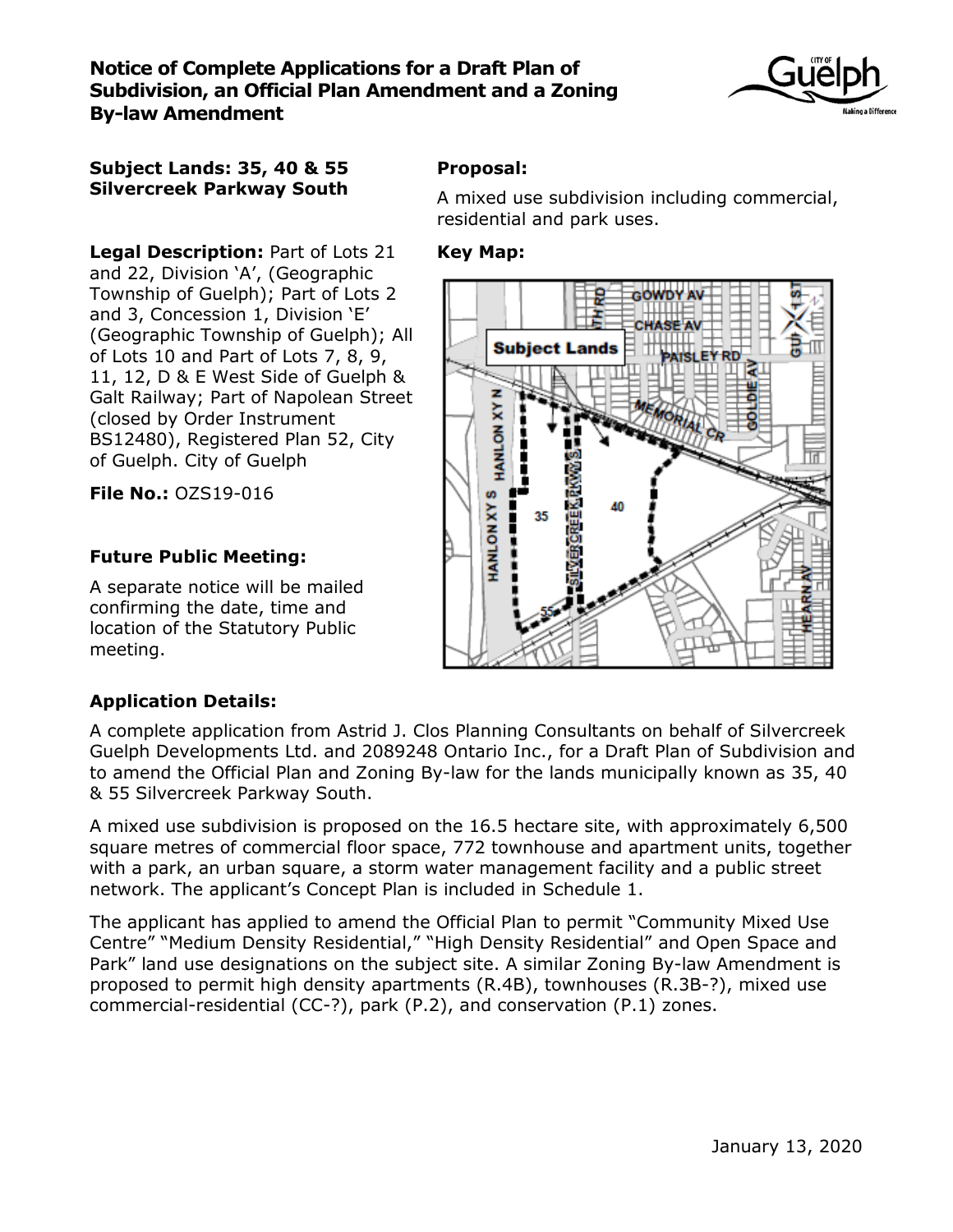

### **Subject Lands: 35, 40 & 55 Silvercreek Parkway South**

**Legal Description:** Part of Lots 21 and 22, Division 'A', (Geographic Township of Guelph); Part of Lots 2 and 3, Concession 1, Division 'E' (Geographic Township of Guelph); All of Lots 10 and Part of Lots 7, 8, 9, 11, 12, D & E West Side of Guelph & Galt Railway; Part of Napolean Street (closed by Order Instrument BS12480), Registered Plan 52, City of Guelph. City of Guelph

**File No.:** OZS19-016

## **Future Public Meeting:**

A separate notice will be mailed confirming the date, time and location of the Statutory Public meeting.

# **Proposal:**

A mixed use subdivision including commercial, residential and park uses.

## **Key Map:**



## **Application Details:**

A complete application from Astrid J. Clos Planning Consultants on behalf of Silvercreek Guelph Developments Ltd. and 2089248 Ontario Inc., for a Draft Plan of Subdivision and to amend the Official Plan and Zoning By-law for the lands municipally known as 35, 40 & 55 Silvercreek Parkway South.

A mixed use subdivision is proposed on the 16.5 hectare site, with approximately 6,500 square metres of commercial floor space, 772 townhouse and apartment units, together with a park, an urban square, a storm water management facility and a public street network. The applicant's Concept Plan is included in Schedule 1.

The applicant has applied to amend the Official Plan to permit "Community Mixed Use Centre" "Medium Density Residential," "High Density Residential" and Open Space and Park" land use designations on the subject site. A similar Zoning By-law Amendment is proposed to permit high density apartments (R.4B), townhouses (R.3B-?), mixed use commercial-residential (CC-?), park (P.2), and conservation (P.1) zones.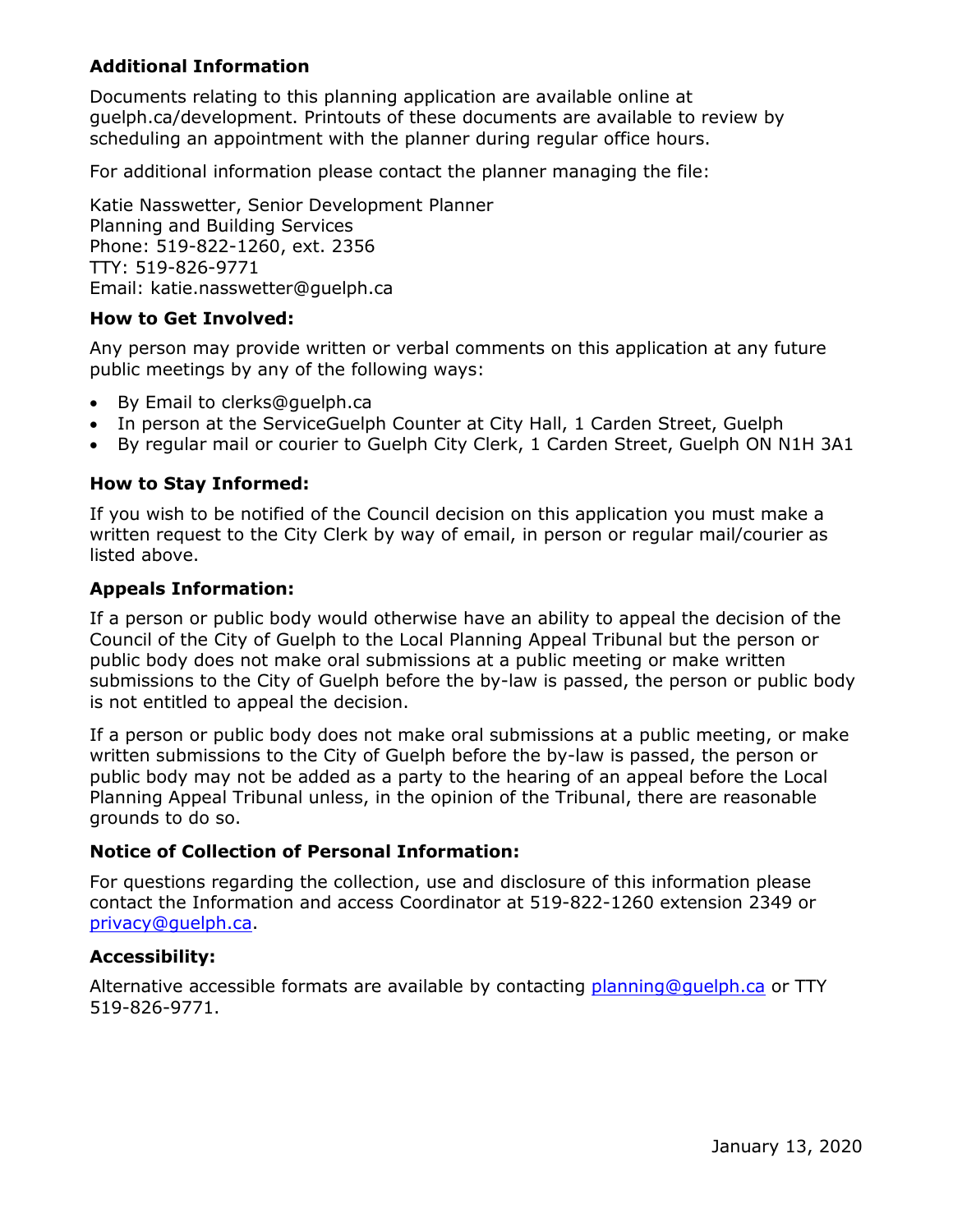## **Additional Information**

Documents relating to this planning application are available online at guelph.ca/development. Printouts of these documents are available to review by scheduling an appointment with the planner during regular office hours.

For additional information please contact the planner managing the file:

Katie Nasswetter, Senior Development Planner Planning and Building Services Phone: 519-822-1260, ext. 2356 TTY: 519-826-9771 Email: katie.nasswetter@guelph.ca

#### **How to Get Involved:**

Any person may provide written or verbal comments on this application at any future public meetings by any of the following ways:

- By Email to clerks@guelph.ca
- In person at the ServiceGuelph Counter at City Hall, 1 Carden Street, Guelph
- By regular mail or courier to Guelph City Clerk, 1 Carden Street, Guelph ON N1H 3A1

#### **How to Stay Informed:**

If you wish to be notified of the Council decision on this application you must make a written request to the City Clerk by way of email, in person or regular mail/courier as listed above.

#### **Appeals Information:**

If a person or public body would otherwise have an ability to appeal the decision of the Council of the City of Guelph to the Local Planning Appeal Tribunal but the person or public body does not make oral submissions at a public meeting or make written submissions to the City of Guelph before the by-law is passed, the person or public body is not entitled to appeal the decision.

If a person or public body does not make oral submissions at a public meeting, or make written submissions to the City of Guelph before the by-law is passed, the person or public body may not be added as a party to the hearing of an appeal before the Local Planning Appeal Tribunal unless, in the opinion of the Tribunal, there are reasonable grounds to do so.

#### **Notice of Collection of Personal Information:**

For questions regarding the collection, use and disclosure of this information please contact the Information and access Coordinator at 519-822-1260 extension 2349 or [privacy@guelph.ca.](mailto:privacy@guelph.ca)

#### **Accessibility:**

Alternative accessible formats are available by contacting [planning@guelph.ca](mailto:planning@guelph.ca) or TTY 519-826-9771.